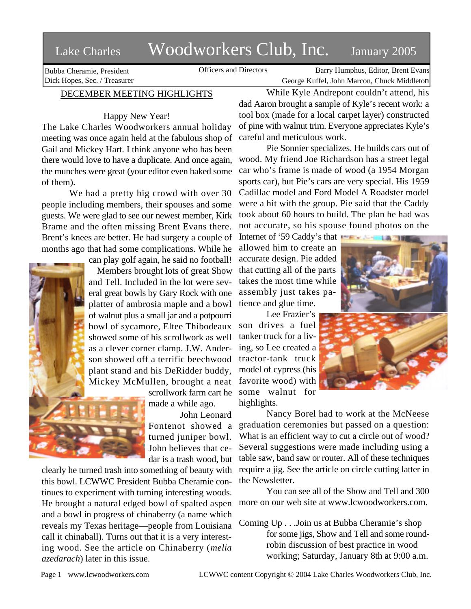## Lake Charles Woodworkers Club, Inc. January 2005

Bubba Cheramie, President Dick Hopes, Sec. / Treasurer

Officers and Directors Barry Humphus, Editor, Brent Evans George Kuffel, John Marcon, Chuck Middleton

## DECEMBER MEETING HIGHLIGHTS

Happy New Year!

The Lake Charles Woodworkers annual holiday meeting was once again held at the fabulous shop of Gail and Mickey Hart. I think anyone who has been there would love to have a duplicate. And once again, the munches were great (your editor even baked some of them).

We had a pretty big crowd with over 30 people including members, their spouses and some guests. We were glad to see our newest member, Kirk Brame and the often missing Brent Evans there. Brent's knees are better. He had surgery a couple of months ago that had some complications. While he

can play golf again, he said no football!

Members brought lots of great Show and Tell. Included in the lot were several great bowls by Gary Rock with one platter of ambrosia maple and a bowl of walnut plus a small jar and a potpourri bowl of sycamore, Eltee Thibodeaux showed some of his scrollwork as well as a clever corner clamp. J.W. Anderson showed off a terrific beechwood plant stand and his DeRidder buddy, Mickey McMullen, brought a neat



scrollwork farm cart he made a while ago.

John Leonard Fontenot showed a turned juniper bowl. John believes that cedar is a trash wood, but

clearly he turned trash into something of beauty with this bowl. LCWWC President Bubba Cheramie continues to experiment with turning interesting woods. He brought a natural edged bowl of spalted aspen and a bowl in progress of chinaberry (a name which reveals my Texas heritage—people from Louisiana call it chinaball). Turns out that it is a very interesting wood. See the article on Chinaberry (*melia azedarach*) later in this issue.

While Kyle Andrepont couldn't attend, his dad Aaron brought a sample of Kyle's recent work: a tool box (made for a local carpet layer) constructed of pine with walnut trim. Everyone appreciates Kyle's careful and meticulous work.

Pie Sonnier specializes. He builds cars out of wood. My friend Joe Richardson has a street legal car who's frame is made of wood (a 1954 Morgan sports car), but Pie's cars are very special. His 1959 Cadillac model and Ford Model A Roadster model were a hit with the group. Pie said that the Caddy took about 60 hours to build. The plan he had was not accurate, so his spouse found photos on the

Internet of '59 Caddy's that allowed him to create an accurate design. Pie added that cutting all of the parts takes the most time while assembly just takes patience and glue time.

Lee Frazier's son drives a fuel tanker truck for a living, so Lee created a tractor-tank truck model of cypress (his favorite wood) with some walnut for highlights.



Nancy Borel had to work at the McNeese graduation ceremonies but passed on a question: What is an efficient way to cut a circle out of wood? Several suggestions were made including using a table saw, band saw or router. All of these techniques require a jig. See the article on circle cutting latter in the Newsletter.

You can see all of the Show and Tell and 300 more on our web site at www.lcwoodworkers.com.

Coming Up . . .Join us at Bubba Cheramie's shop for some jigs, Show and Tell and some roundrobin discussion of best practice in wood working; Saturday, January 8th at 9:00 a.m.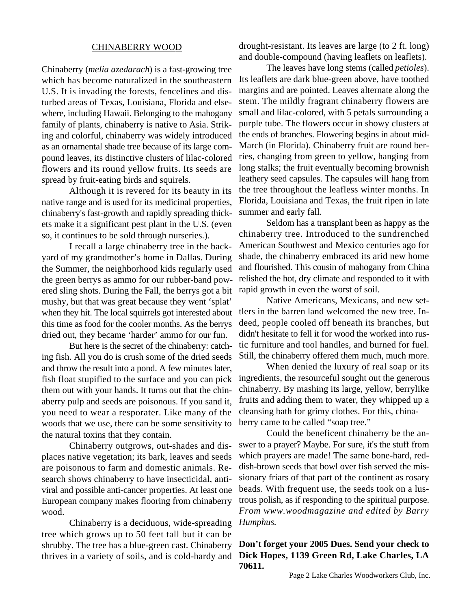## CHINABERRY WOOD

Chinaberry (*melia azedarach*) is a fast-growing tree which has become naturalized in the southeastern U.S. It is invading the forests, fencelines and disturbed areas of Texas, Louisiana, Florida and elsewhere, including Hawaii. Belonging to the mahogany family of plants, chinaberry is native to Asia. Striking and colorful, chinaberry was widely introduced as an ornamental shade tree because of its large compound leaves, its distinctive clusters of lilac-colored flowers and its round yellow fruits. Its seeds are spread by fruit-eating birds and squirels.

Although it is revered for its beauty in its native range and is used for its medicinal properties, chinaberry's fast-growth and rapidly spreading thickets make it a significant pest plant in the U.S. (even so, it continues to be sold through nurseries.).

I recall a large chinaberry tree in the backyard of my grandmother's home in Dallas. During the Summer, the neighborhood kids regularly used the green berrys as ammo for our rubber-band powered sling shots. During the Fall, the berrys got a bit mushy, but that was great because they went 'splat' when they hit. The local squirrels got interested about this time as food for the cooler months. As the berrys dried out, they became 'harder' ammo for our fun.

But here is the secret of the chinaberry: catching fish. All you do is crush some of the dried seeds and throw the result into a pond. A few minutes later, fish float stupified to the surface and you can pick them out with your hands. It turns out that the chinaberry pulp and seeds are poisonous. If you sand it, you need to wear a resporater. Like many of the woods that we use, there can be some sensitivity to the natural toxins that they contain.

Chinaberry outgrows, out-shades and displaces native vegetation; its bark, leaves and seeds are poisonous to farm and domestic animals. Research shows chinaberry to have insecticidal, antiviral and possible anti-cancer properties. At least one European company makes flooring from chinaberry wood.

Chinaberry is a deciduous, wide-spreading tree which grows up to 50 feet tall but it can be shrubby. The tree has a blue-green cast. Chinaberry thrives in a variety of soils, and is cold-hardy and drought-resistant. Its leaves are large (to 2 ft. long) and double-compound (having leaflets on leaflets).

The leaves have long stems (called *petioles*). Its leaflets are dark blue-green above, have toothed margins and are pointed. Leaves alternate along the stem. The mildly fragrant chinaberry flowers are small and lilac-colored, with 5 petals surrounding a purple tube. The flowers occur in showy clusters at the ends of branches. Flowering begins in about mid-March (in Florida). Chinaberry fruit are round berries, changing from green to yellow, hanging from long stalks; the fruit eventually becoming brownish leathery seed capsules. The capsules will hang from the tree throughout the leafless winter months. In Florida, Louisiana and Texas, the fruit ripen in late summer and early fall.

Seldom has a transplant been as happy as the chinaberry tree. Introduced to the sundrenched American Southwest and Mexico centuries ago for shade, the chinaberry embraced its arid new home and flourished. This cousin of mahogany from China relished the hot, dry climate and responded to it with rapid growth in even the worst of soil.

Native Americans, Mexicans, and new settlers in the barren land welcomed the new tree. Indeed, people cooled off beneath its branches, but didn't hesitate to fell it for wood the worked into rustic furniture and tool handles, and burned for fuel. Still, the chinaberry offered them much, much more.

When denied the luxury of real soap or its ingredients, the resourceful sought out the generous chinaberry. By mashing its large, yellow, berrylike fruits and adding them to water, they whipped up a cleansing bath for grimy clothes. For this, chinaberry came to be called "soap tree."

Could the beneficent chinaberry be the answer to a prayer? Maybe. For sure, it's the stuff from which prayers are made! The same bone-hard, reddish-brown seeds that bowl over fish served the missionary friars of that part of the continent as rosary beads. With frequent use, the seeds took on a lustrous polish, as if responding to the spiritual purpose. *From www.woodmagazine and edited by Barry Humphus.*

**Don't forget your 2005 Dues. Send your check to Dick Hopes, 1139 Green Rd, Lake Charles, LA 70611.**